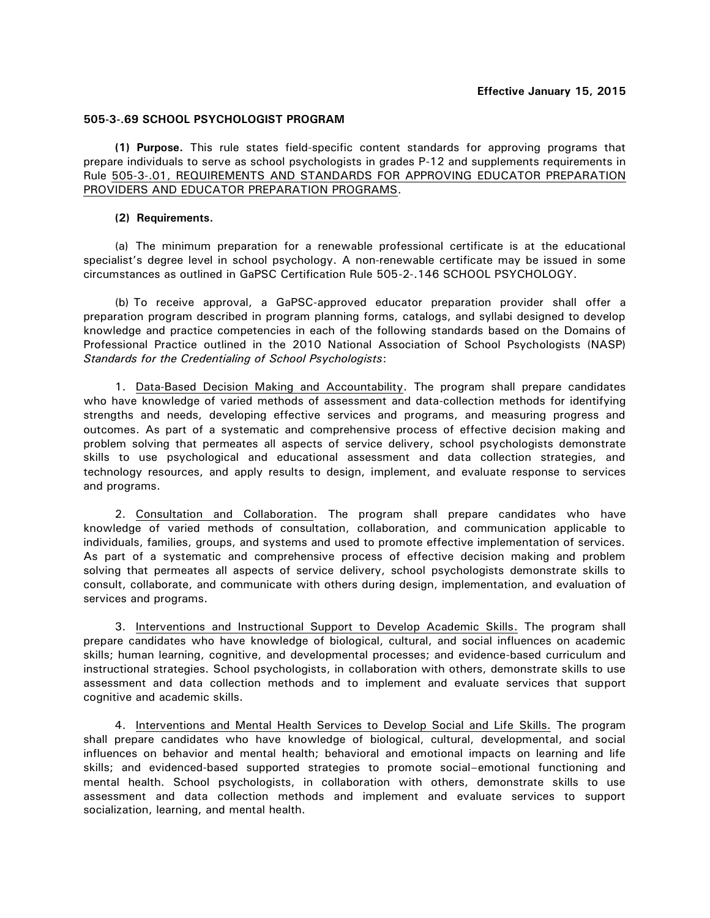## **505-3-.69 SCHOOL PSYCHOLOGIST PROGRAM**

**(1) Purpose.** This rule states field-specific content standards for approving programs that prepare individuals to serve as school psychologists in grades P-12 and supplements requirements in Rule 505-3-.01, REQUIREMENTS AND STANDARDS FOR APPROVING EDUCATOR PREPARATION PROVIDERS AND EDUCATOR PREPARATION PROGRAMS.

## **(2) Requirements.**

(a) The minimum preparation for a renewable professional certificate is at the educational specialist's degree level in school psychology. A non-renewable certificate may be issued in some circumstances as outlined in GaPSC Certification Rule 505-2-.146 SCHOOL PSYCHOLOGY.

(b) To receive approval, a GaPSC-approved educator preparation provider shall offer a preparation program described in program planning forms, catalogs, and syllabi designed to develop knowledge and practice competencies in each of the following standards based on the Domains of Professional Practice outlined in the 2010 National Association of School Psychologists (NASP) *Standards for the Credentialing of School Psychologists*:

1. Data-Based Decision Making and Accountability. The program shall prepare candidates who have knowledge of varied methods of assessment and data-collection methods for identifying strengths and needs, developing effective services and programs, and measuring progress and outcomes. As part of a systematic and comprehensive process of effective decision making and problem solving that permeates all aspects of service delivery, school psychologists demonstrate skills to use psychological and educational assessment and data collection strategies, and technology resources, and apply results to design, implement, and evaluate response to services and programs.

2. Consultation and Collaboration. The program shall prepare candidates who have knowledge of varied methods of consultation, collaboration, and communication applicable to individuals, families, groups, and systems and used to promote effective implementation of services. As part of a systematic and comprehensive process of effective decision making and problem solving that permeates all aspects of service delivery, school psychologists demonstrate skills to consult, collaborate, and communicate with others during design, implementation, and evaluation of services and programs.

3. Interventions and Instructional Support to Develop Academic Skills. The program shall prepare candidates who have knowledge of biological, cultural, and social influences on academic skills; human learning, cognitive, and developmental processes; and evidence-based curriculum and instructional strategies. School psychologists, in collaboration with others, demonstrate skills to use assessment and data collection methods and to implement and evaluate services that support cognitive and academic skills.

4. Interventions and Mental Health Services to Develop Social and Life Skills. The program shall prepare candidates who have knowledge of biological, cultural, developmental, and social influences on behavior and mental health; behavioral and emotional impacts on learning and life skills; and evidenced-based supported strategies to promote social–emotional functioning and mental health. School psychologists, in collaboration with others, demonstrate skills to use assessment and data collection methods and implement and evaluate services to support socialization, learning, and mental health.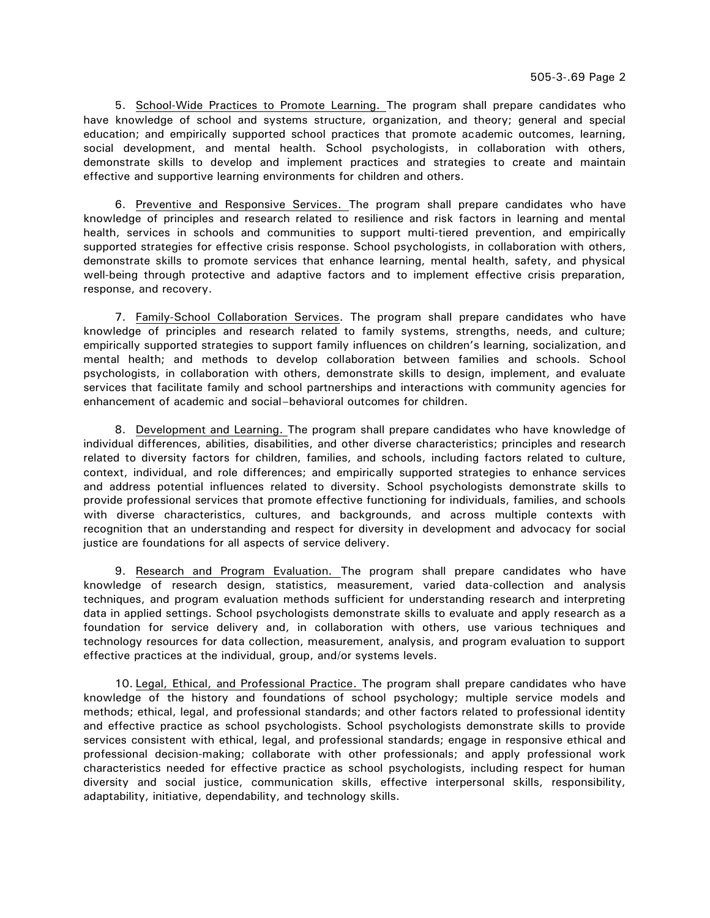5. School-Wide Practices to Promote Learning. The program shall prepare candidates who have knowledge of school and systems structure, organization, and theory; general and special education; and empirically supported school practices that promote academic outcomes, learning, social development, and mental health. School psychologists, in collaboration with others, demonstrate skills to develop and implement practices and strategies to create and maintain effective and supportive learning environments for children and others.

6. Preventive and Responsive Services. The program shall prepare candidates who have knowledge of principles and research related to resilience and risk factors in learning and mental health, services in schools and communities to support multi-tiered prevention, and empirically supported strategies for effective crisis response. School psychologists, in collaboration with others, demonstrate skills to promote services that enhance learning, mental health, safety, and physical well-being through protective and adaptive factors and to implement effective crisis preparation, response, and recovery.

7. Family-School Collaboration Services. The program shall prepare candidates who have knowledge of principles and research related to family systems, strengths, needs, and culture; empirically supported strategies to support family influences on children's learning, socialization, and mental health; and methods to develop collaboration between families and schools. School psychologists, in collaboration with others, demonstrate skills to design, implement, and evaluate services that facilitate family and school partnerships and interactions with community agencies for enhancement of academic and social–behavioral outcomes for children.

8. Development and Learning. The program shall prepare candidates who have knowledge of individual differences, abilities, disabilities, and other diverse characteristics; principles and research related to diversity factors for children, families, and schools, including factors related to culture, context, individual, and role differences; and empirically supported strategies to enhance services and address potential influences related to diversity. School psychologists demonstrate skills to provide professional services that promote effective functioning for individuals, families, and schools with diverse characteristics, cultures, and backgrounds, and across multiple contexts with recognition that an understanding and respect for diversity in development and advocacy for social justice are foundations for all aspects of service delivery.

9. Research and Program Evaluation. The program shall prepare candidates who have knowledge of research design, statistics, measurement, varied data-collection and analysis techniques, and program evaluation methods sufficient for understanding research and interpreting data in applied settings. School psychologists demonstrate skills to evaluate and apply research as a foundation for service delivery and, in collaboration with others, use various techniques and technology resources for data collection, measurement, analysis, and program evaluation to support effective practices at the individual, group, and/or systems levels.

10. Legal, Ethical, and Professional Practice. The program shall prepare candidates who have knowledge of the history and foundations of school psychology; multiple service models and methods; ethical, legal, and professional standards; and other factors related to professional identity and effective practice as school psychologists. School psychologists demonstrate skills to provide services consistent with ethical, legal, and professional standards; engage in responsive ethical and professional decision-making; collaborate with other professionals; and apply professional work characteristics needed for effective practice as school psychologists, including respect for human diversity and social justice, communication skills, effective interpersonal skills, responsibility, adaptability, initiative, dependability, and technology skills.